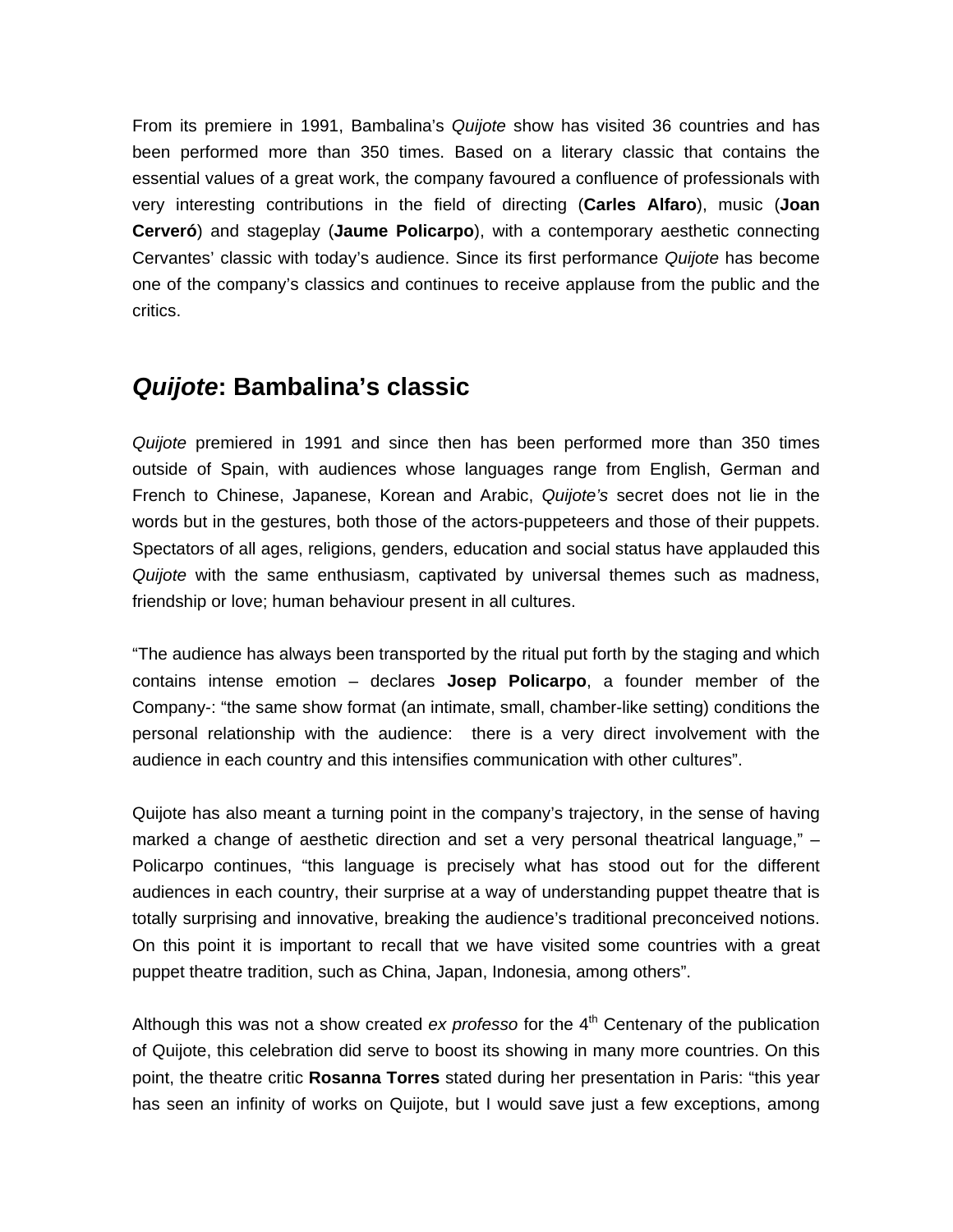From its premiere in 1991, Bambalina's *Quijote* show has visited 36 countries and has been performed more than 350 times. Based on a literary classic that contains the essential values of a great work, the company favoured a confluence of professionals with very interesting contributions in the field of directing (**Carles Alfaro**), music (**Joan Cerveró**) and stageplay (**Jaume Policarpo**), with a contemporary aesthetic connecting Cervantes' classic with today's audience. Since its first performance *Quijote* has become one of the company's classics and continues to receive applause from the public and the critics.

# *Quijote***: Bambalina's classic**

*Quijote* premiered in 1991 and since then has been performed more than 350 times outside of Spain, with audiences whose languages range from English, German and French to Chinese, Japanese, Korean and Arabic, *Quijote's* secret does not lie in the words but in the gestures, both those of the actors-puppeteers and those of their puppets. Spectators of all ages, religions, genders, education and social status have applauded this *Quijote* with the same enthusiasm, captivated by universal themes such as madness, friendship or love; human behaviour present in all cultures.

"The audience has always been transported by the ritual put forth by the staging and which contains intense emotion – declares **Josep Policarpo**, a founder member of the Company-: "the same show format (an intimate, small, chamber-like setting) conditions the personal relationship with the audience: there is a very direct involvement with the audience in each country and this intensifies communication with other cultures".

Quijote has also meant a turning point in the company's trajectory, in the sense of having marked a change of aesthetic direction and set a very personal theatrical language," – Policarpo continues, "this language is precisely what has stood out for the different audiences in each country, their surprise at a way of understanding puppet theatre that is totally surprising and innovative, breaking the audience's traditional preconceived notions. On this point it is important to recall that we have visited some countries with a great puppet theatre tradition, such as China, Japan, Indonesia, among others".

Although this was not a show created *ex professo* for the 4<sup>th</sup> Centenary of the publication of Quijote, this celebration did serve to boost its showing in many more countries. On this point, the theatre critic **Rosanna Torres** stated during her presentation in Paris: "this year has seen an infinity of works on Quijote, but I would save just a few exceptions, among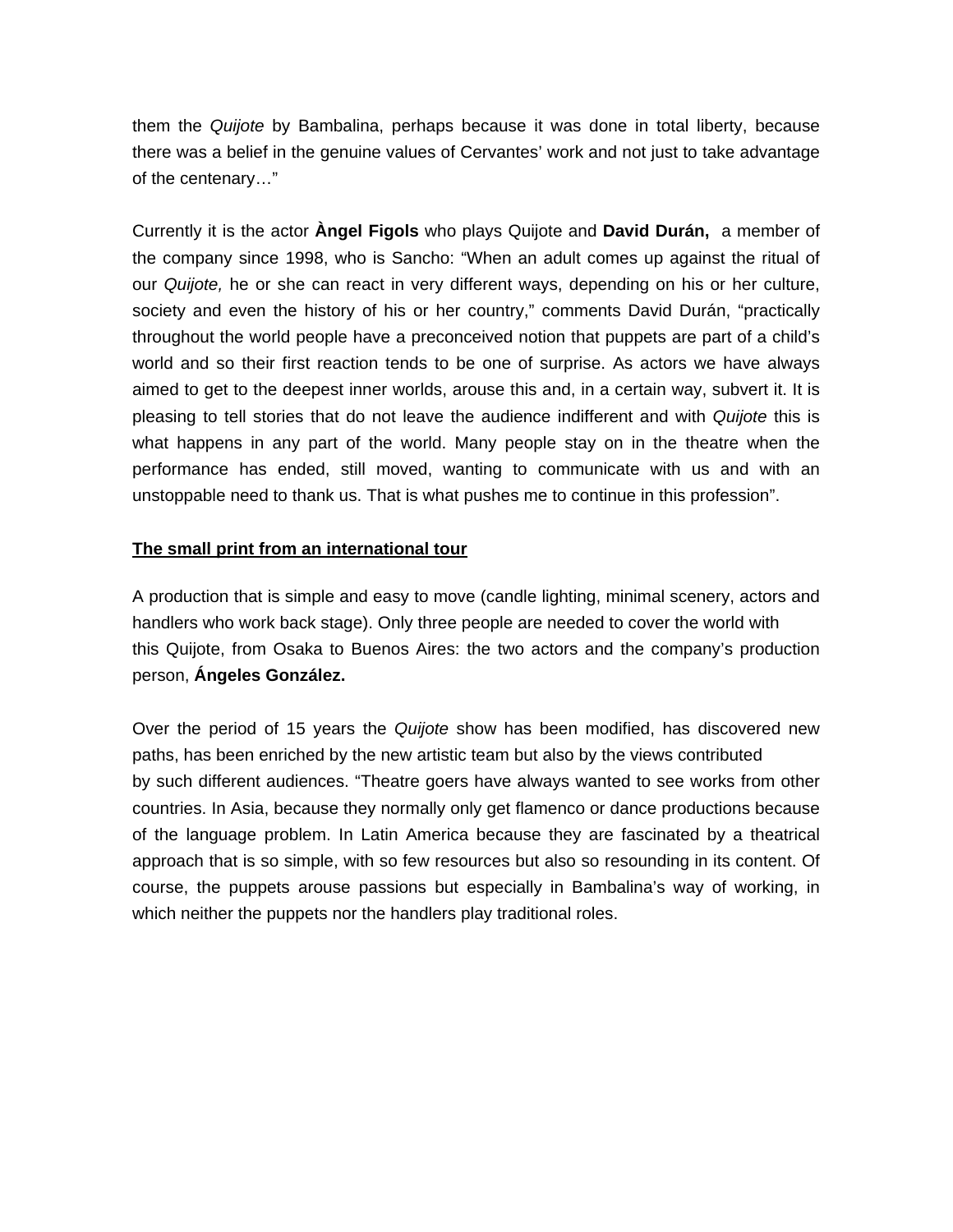them the *Quijote* by Bambalina, perhaps because it was done in total liberty, because there was a belief in the genuine values of Cervantes' work and not just to take advantage of the centenary…"

Currently it is the actor **Àngel Figols** who plays Quijote and **David Durán,** a member of the company since 1998, who is Sancho: "When an adult comes up against the ritual of our *Quijote,* he or she can react in very different ways, depending on his or her culture, society and even the history of his or her country," comments David Durán, "practically throughout the world people have a preconceived notion that puppets are part of a child's world and so their first reaction tends to be one of surprise. As actors we have always aimed to get to the deepest inner worlds, arouse this and, in a certain way, subvert it. It is pleasing to tell stories that do not leave the audience indifferent and with *Quijote* this is what happens in any part of the world. Many people stay on in the theatre when the performance has ended, still moved, wanting to communicate with us and with an unstoppable need to thank us. That is what pushes me to continue in this profession".

#### **The small print from an international tour**

A production that is simple and easy to move (candle lighting, minimal scenery, actors and handlers who work back stage). Only three people are needed to cover the world with this Quijote, from Osaka to Buenos Aires: the two actors and the company's production person, **Ángeles González.** 

Over the period of 15 years the *Quijote* show has been modified, has discovered new paths, has been enriched by the new artistic team but also by the views contributed by such different audiences. "Theatre goers have always wanted to see works from other countries. In Asia, because they normally only get flamenco or dance productions because of the language problem. In Latin America because they are fascinated by a theatrical approach that is so simple, with so few resources but also so resounding in its content. Of course, the puppets arouse passions but especially in Bambalina's way of working, in which neither the puppets nor the handlers play traditional roles.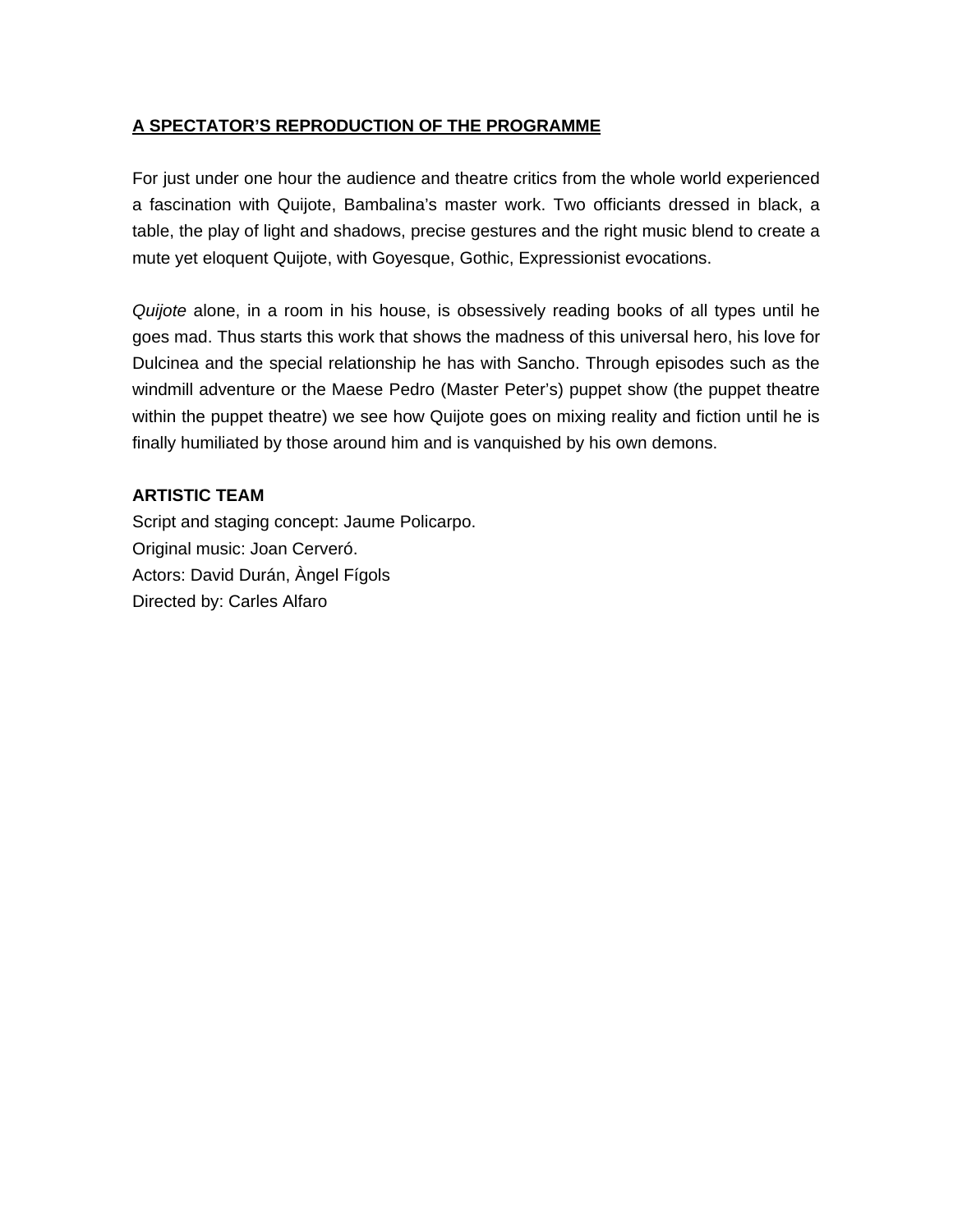### **A SPECTATOR'S REPRODUCTION OF THE PROGRAMME**

For just under one hour the audience and theatre critics from the whole world experienced a fascination with Quijote, Bambalina's master work. Two officiants dressed in black, a table, the play of light and shadows, precise gestures and the right music blend to create a mute yet eloquent Quijote, with Goyesque, Gothic, Expressionist evocations.

*Quijote* alone, in a room in his house, is obsessively reading books of all types until he goes mad. Thus starts this work that shows the madness of this universal hero, his love for Dulcinea and the special relationship he has with Sancho. Through episodes such as the windmill adventure or the Maese Pedro (Master Peter's) puppet show (the puppet theatre within the puppet theatre) we see how Quijote goes on mixing reality and fiction until he is finally humiliated by those around him and is vanquished by his own demons.

## **ARTISTIC TEAM**

Script and staging concept: Jaume Policarpo. Original music: Joan Cerveró. Actors: David Durán, Àngel Fígols Directed by: Carles Alfaro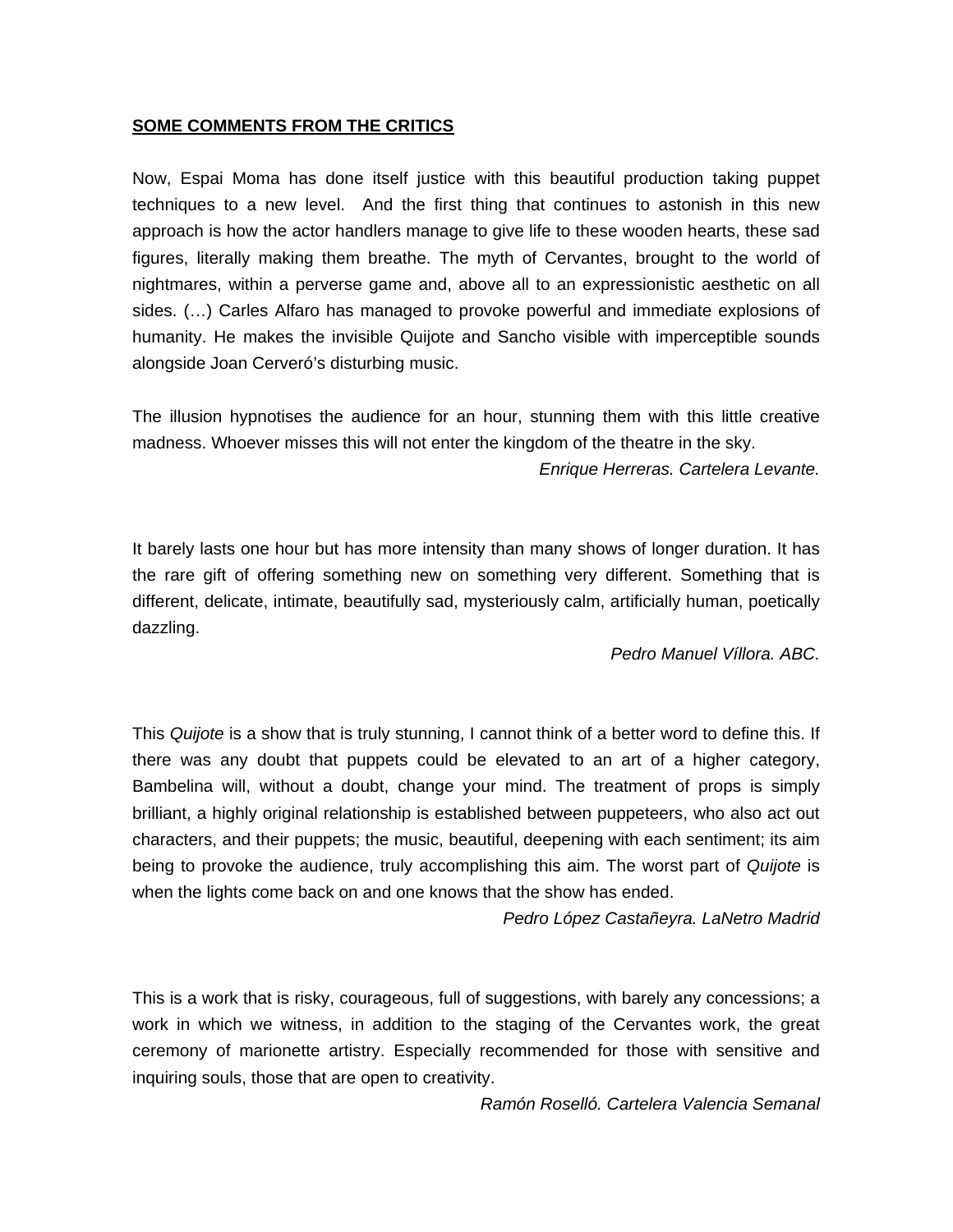#### **SOME COMMENTS FROM THE CRITICS**

Now, Espai Moma has done itself justice with this beautiful production taking puppet techniques to a new level. And the first thing that continues to astonish in this new approach is how the actor handlers manage to give life to these wooden hearts, these sad figures, literally making them breathe. The myth of Cervantes, brought to the world of nightmares, within a perverse game and, above all to an expressionistic aesthetic on all sides. (…) Carles Alfaro has managed to provoke powerful and immediate explosions of humanity. He makes the invisible Quijote and Sancho visible with imperceptible sounds alongside Joan Cerveró's disturbing music.

The illusion hypnotises the audience for an hour, stunning them with this little creative madness. Whoever misses this will not enter the kingdom of the theatre in the sky. *Enrique Herreras. Cartelera Levante.* 

It barely lasts one hour but has more intensity than many shows of longer duration. It has the rare gift of offering something new on something very different. Something that is different, delicate, intimate, beautifully sad, mysteriously calm, artificially human, poetically dazzling.

*Pedro Manuel Víllora. ABC.* 

This *Quijote* is a show that is truly stunning, I cannot think of a better word to define this. If there was any doubt that puppets could be elevated to an art of a higher category, Bambelina will, without a doubt, change your mind. The treatment of props is simply brilliant, a highly original relationship is established between puppeteers, who also act out characters, and their puppets; the music, beautiful, deepening with each sentiment; its aim being to provoke the audience, truly accomplishing this aim. The worst part of *Quijote* is when the lights come back on and one knows that the show has ended.

*Pedro López Castañeyra. LaNetro Madrid* 

This is a work that is risky, courageous, full of suggestions, with barely any concessions; a work in which we witness, in addition to the staging of the Cervantes work, the great ceremony of marionette artistry. Especially recommended for those with sensitive and inquiring souls, those that are open to creativity.

*Ramón Roselló. Cartelera Valencia Semanal*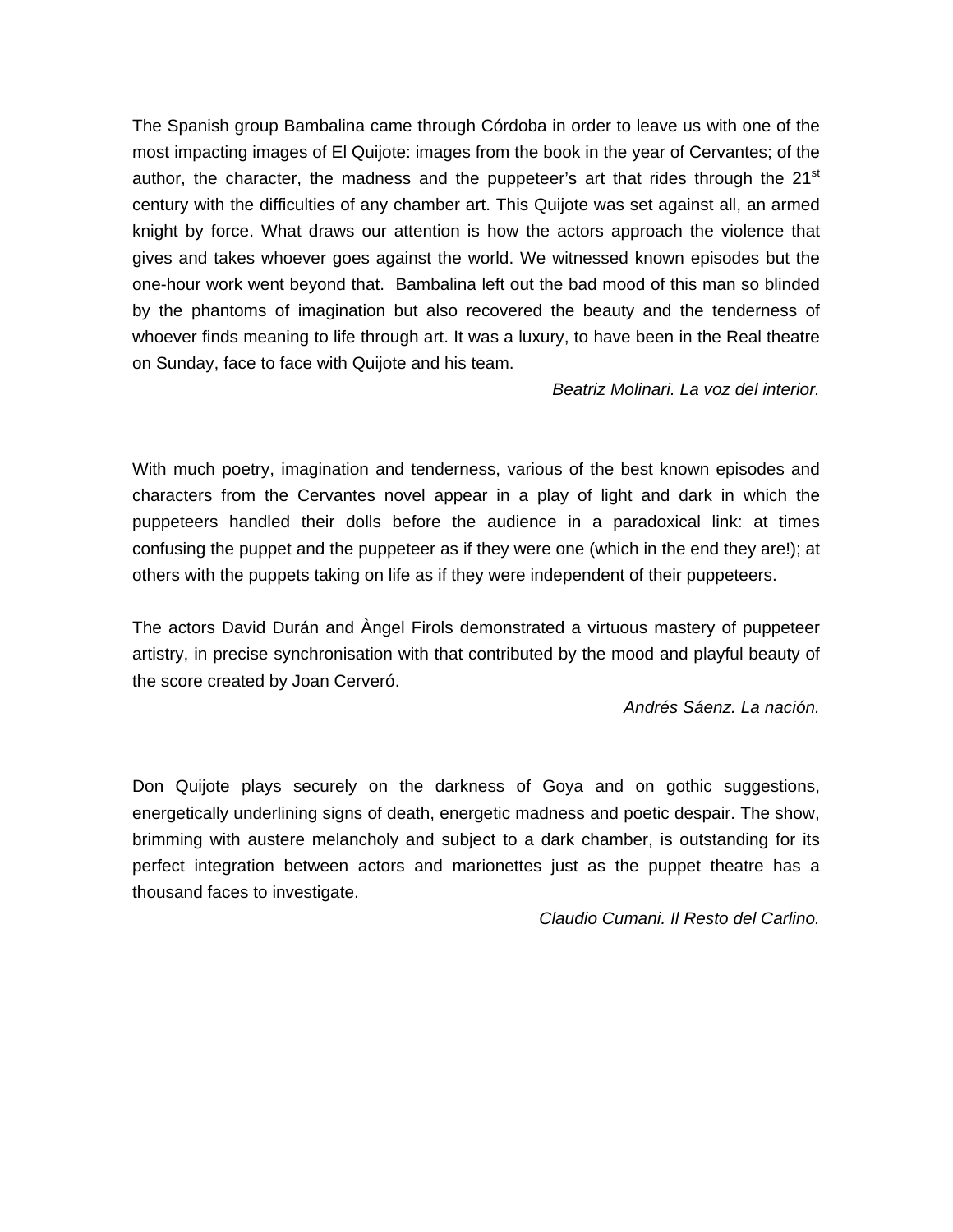The Spanish group Bambalina came through Córdoba in order to leave us with one of the most impacting images of El Quijote: images from the book in the year of Cervantes; of the author, the character, the madness and the puppeteer's art that rides through the  $21<sup>st</sup>$ century with the difficulties of any chamber art. This Quijote was set against all, an armed knight by force. What draws our attention is how the actors approach the violence that gives and takes whoever goes against the world. We witnessed known episodes but the one-hour work went beyond that. Bambalina left out the bad mood of this man so blinded by the phantoms of imagination but also recovered the beauty and the tenderness of whoever finds meaning to life through art. It was a luxury, to have been in the Real theatre on Sunday, face to face with Quijote and his team.

*Beatriz Molinari. La voz del interior.* 

With much poetry, imagination and tenderness, various of the best known episodes and characters from the Cervantes novel appear in a play of light and dark in which the puppeteers handled their dolls before the audience in a paradoxical link: at times confusing the puppet and the puppeteer as if they were one (which in the end they are!); at others with the puppets taking on life as if they were independent of their puppeteers.

The actors David Durán and Àngel Firols demonstrated a virtuous mastery of puppeteer artistry, in precise synchronisation with that contributed by the mood and playful beauty of the score created by Joan Cerveró.

*Andrés Sáenz. La nación.* 

Don Quijote plays securely on the darkness of Goya and on gothic suggestions, energetically underlining signs of death, energetic madness and poetic despair. The show, brimming with austere melancholy and subject to a dark chamber, is outstanding for its perfect integration between actors and marionettes just as the puppet theatre has a thousand faces to investigate.

*Claudio Cumani. Il Resto del Carlino.*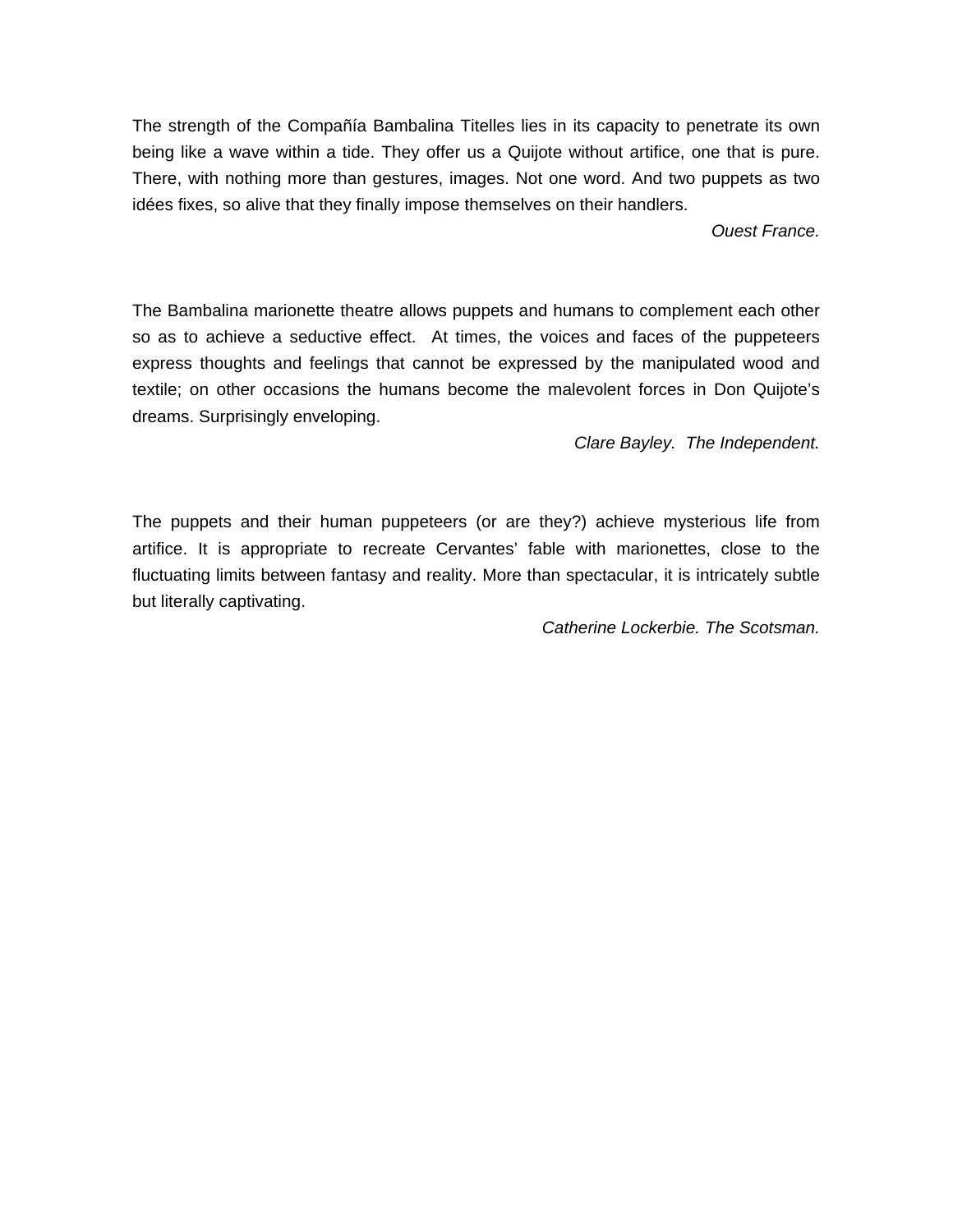The strength of the Compañía Bambalina Titelles lies in its capacity to penetrate its own being like a wave within a tide. They offer us a Quijote without artifice, one that is pure. There, with nothing more than gestures, images. Not one word. And two puppets as two idées fixes, so alive that they finally impose themselves on their handlers.

*Ouest France.* 

The Bambalina marionette theatre allows puppets and humans to complement each other so as to achieve a seductive effect. At times, the voices and faces of the puppeteers express thoughts and feelings that cannot be expressed by the manipulated wood and textile; on other occasions the humans become the malevolent forces in Don Quijote's dreams. Surprisingly enveloping.

*Clare Bayley. The Independent.* 

The puppets and their human puppeteers (or are they?) achieve mysterious life from artifice. It is appropriate to recreate Cervantes' fable with marionettes, close to the fluctuating limits between fantasy and reality. More than spectacular, it is intricately subtle but literally captivating.

*Catherine Lockerbie. The Scotsman.*